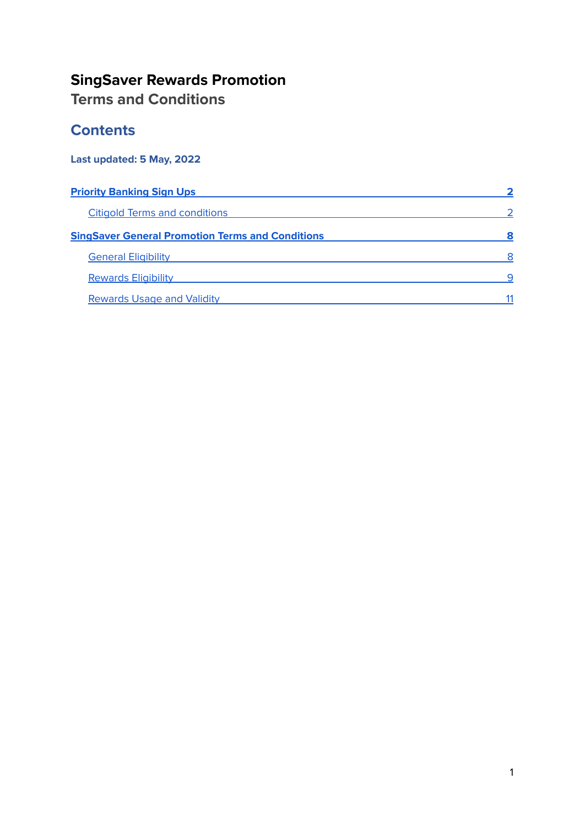#### **SingSaver Rewards Promotion Terms and Conditions**

#### **Contents**

#### **Last updated: 5 May, 2022**

| <b>Priority Banking Sign Ups</b>                        |  |
|---------------------------------------------------------|--|
| <b>Citigold Terms and conditions</b>                    |  |
| <b>SingSaver General Promotion Terms and Conditions</b> |  |
| <b>General Eligibility</b>                              |  |
| <b>Rewards Eligibility</b>                              |  |
| <b>Rewards Usage and Validity</b>                       |  |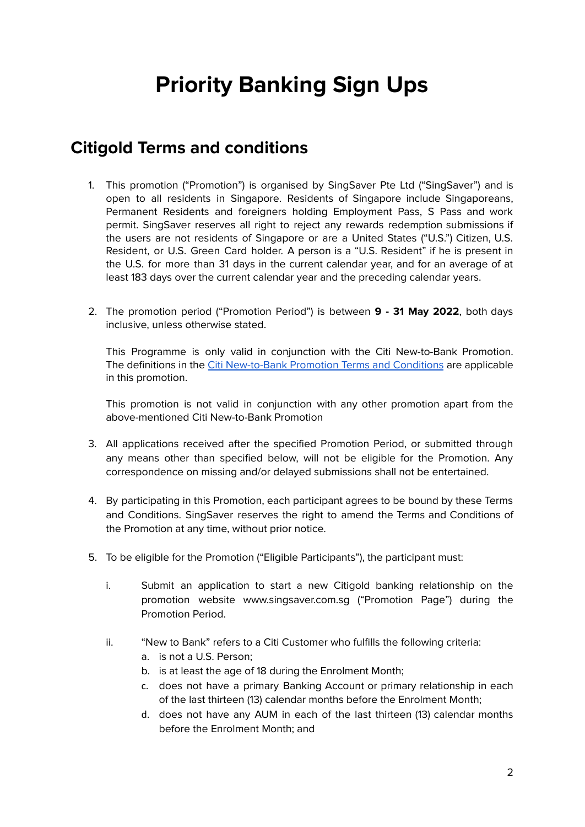# **Priority Banking Sign Ups**

#### <span id="page-1-1"></span><span id="page-1-0"></span>**Citigold Terms and conditions**

- 1. This promotion ("Promotion") is organised by SingSaver Pte Ltd ("SingSaver") and is open to all residents in Singapore. Residents of Singapore include Singaporeans, Permanent Residents and foreigners holding Employment Pass, S Pass and work permit. SingSaver reserves all right to reject any rewards redemption submissions if the users are not residents of Singapore or are a United States ("U.S.") Citizen, U.S. Resident, or U.S. Green Card holder. A person is a "U.S. Resident" if he is present in the U.S. for more than 31 days in the current calendar year, and for an average of at least 183 days over the current calendar year and the preceding calendar years.
- 2. The promotion period ("Promotion Period") is between **9 - 31 May 2022**, both days inclusive, unless otherwise stated.

This Programme is only valid in conjunction with the Citi New-to-Bank Promotion. The definitions in the Citi [New-to-Bank](https://www.citibank.com.sg/global_docs/pdf/CG-wc-promo2.pdf) Promotion Terms and Conditions are applicable in this promotion.

This promotion is not valid in conjunction with any other promotion apart from the above-mentioned Citi New-to-Bank Promotion

- 3. All applications received after the specified Promotion Period, or submitted through any means other than specified below, will not be eligible for the Promotion. Any correspondence on missing and/or delayed submissions shall not be entertained.
- 4. By participating in this Promotion, each participant agrees to be bound by these Terms and Conditions. SingSaver reserves the right to amend the Terms and Conditions of the Promotion at any time, without prior notice.
- 5. To be eligible for the Promotion ("Eligible Participants"), the participant must:
	- i. Submit an application to start a new Citigold banking relationship on the promotion website www.singsaver.com.sg ("Promotion Page") during the Promotion Period.
	- ii. "New to Bank" refers to a Citi Customer who fulfills the following criteria:
		- a. is not a U.S. Person;
		- b. is at least the age of 18 during the Enrolment Month;
		- c. does not have a primary Banking Account or primary relationship in each of the last thirteen (13) calendar months before the Enrolment Month;
		- d. does not have any AUM in each of the last thirteen (13) calendar months before the Enrolment Month; and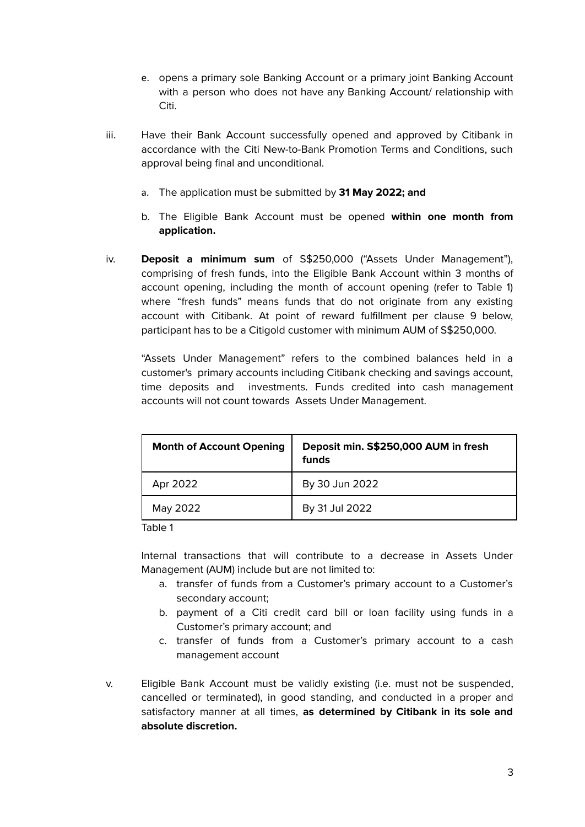- e. opens a primary sole Banking Account or a primary joint Banking Account with a person who does not have any Banking Account/ relationship with Citi.
- iii. Have their Bank Account successfully opened and approved by Citibank in accordance with the Citi New-to-Bank Promotion Terms and Conditions, such approval being final and unconditional.
	- a. The application must be submitted by **31 May 2022; and**
	- b. The Eligible Bank Account must be opened **within one month from application.**
- iv. **Deposit a minimum sum** of S\$250,000 ("Assets Under Management"), comprising of fresh funds, into the Eligible Bank Account within 3 months of account opening, including the month of account opening (refer to Table 1) where "fresh funds" means funds that do not originate from any existing account with Citibank. At point of reward fulfillment per clause 9 below, participant has to be a Citigold customer with minimum AUM of S\$250,000.

"Assets Under Management" refers to the combined balances held in a customer's primary accounts including Citibank checking and savings account, time deposits and investments. Funds credited into cash management accounts will not count towards Assets Under Management.

| <b>Month of Account Opening</b> | Deposit min. S\$250,000 AUM in fresh<br>funds |
|---------------------------------|-----------------------------------------------|
| Apr 2022                        | By 30 Jun 2022                                |
| May 2022                        | By 31 Jul 2022                                |

Table 1

Internal transactions that will contribute to a decrease in Assets Under Management (AUM) include but are not limited to:

- a. transfer of funds from a Customer's primary account to a Customer's secondary account;
- b. payment of a Citi credit card bill or loan facility using funds in a Customer's primary account; and
- c. transfer of funds from a Customer's primary account to a cash management account
- v. Eligible Bank Account must be validly existing (i.e. must not be suspended, cancelled or terminated), in good standing, and conducted in a proper and satisfactory manner at all times, **as determined by Citibank in its sole and absolute discretion.**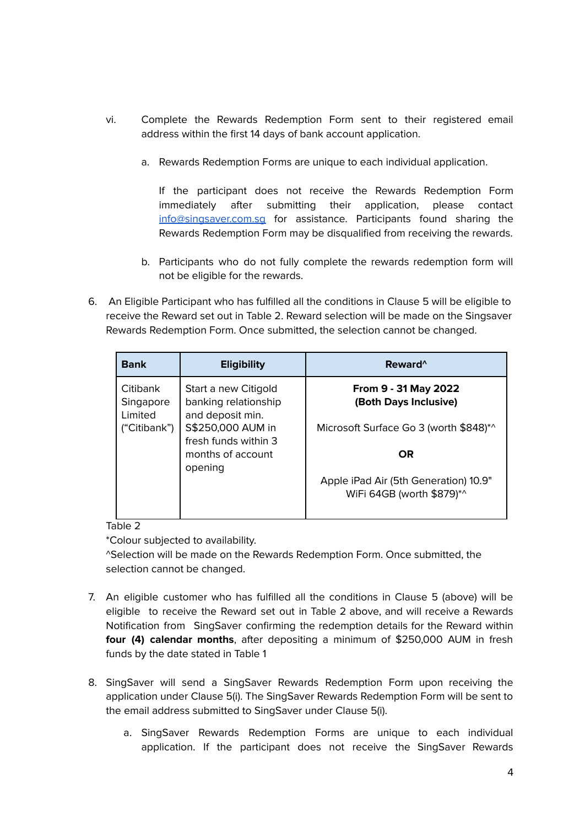- vi. Complete the Rewards Redemption Form sent to their registered email address within the first 14 days of bank account application.
	- a. Rewards Redemption Forms are unique to each individual application.

If the participant does not receive the Rewards Redemption Form immediately after submitting their application, please contact [info@singsaver.com.sg](mailto:info@singsaver.com.sg) for assistance. Participants found sharing the Rewards Redemption Form may be disqualified from receiving the rewards.

- b. Participants who do not fully complete the rewards redemption form will not be eligible for the rewards.
- 6. An Eligible Participant who has fulfilled all the conditions in Clause 5 will be eligible to receive the Reward set out in Table 2. Reward selection will be made on the Singsaver Rewards Redemption Form. Once submitted, the selection cannot be changed.

| <b>Bank</b>                      | <b>Eligibility</b>                                               | Reward <sup>^</sup>                                                |
|----------------------------------|------------------------------------------------------------------|--------------------------------------------------------------------|
| Citibank<br>Singapore<br>Limited | Start a new Citigold<br>banking relationship<br>and deposit min. | From 9 - 31 May 2022<br>(Both Days Inclusive)                      |
| ("Citibank")                     | S\$250,000 AUM in                                                | Microsoft Surface Go 3 (worth \$848)*^                             |
|                                  | fresh funds within 3<br>months of account                        | <b>OR</b>                                                          |
|                                  | opening                                                          |                                                                    |
|                                  |                                                                  | Apple iPad Air (5th Generation) 10.9"<br>WiFi 64GB (worth \$879)*^ |

Table 2

\*Colour subjected to availability.

^Selection will be made on the Rewards Redemption Form. Once submitted, the selection cannot be changed.

- 7. An eligible customer who has fulfilled all the conditions in Clause 5 (above) will be eligible to receive the Reward set out in Table 2 above, and will receive a Rewards Notification from SingSaver confirming the redemption details for the Reward within **four (4) calendar months**, after depositing a minimum of \$250,000 AUM in fresh funds by the date stated in Table 1
- 8. SingSaver will send a SingSaver Rewards Redemption Form upon receiving the application under Clause 5(i). The SingSaver Rewards Redemption Form will be sent to the email address submitted to SingSaver under Clause 5(i).
	- a. SingSaver Rewards Redemption Forms are unique to each individual application. If the participant does not receive the SingSaver Rewards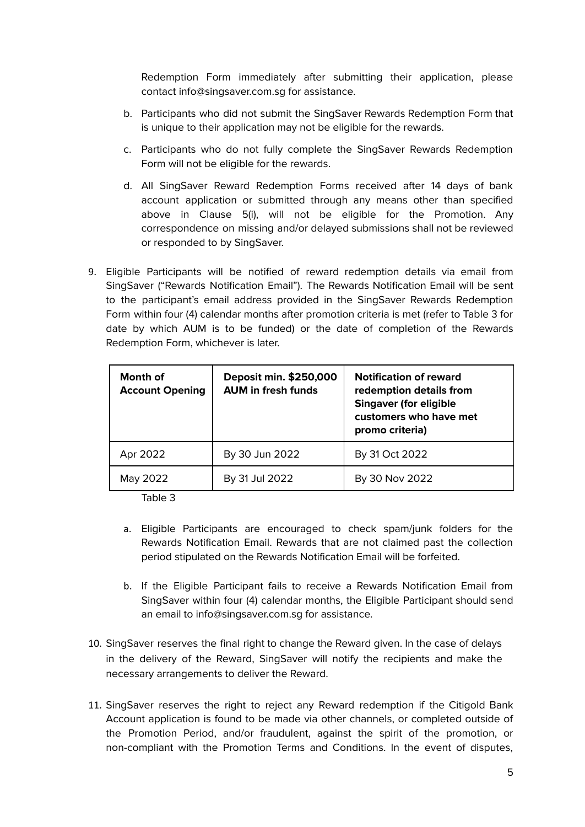Redemption Form immediately after submitting their application, please contact info@singsaver.com.sg for assistance.

- b. Participants who did not submit the SingSaver Rewards Redemption Form that is unique to their application may not be eligible for the rewards.
- c. Participants who do not fully complete the SingSaver Rewards Redemption Form will not be eligible for the rewards.
- d. All SingSaver Reward Redemption Forms received after 14 days of bank account application or submitted through any means other than specified above in Clause 5(i), will not be eligible for the Promotion. Any correspondence on missing and/or delayed submissions shall not be reviewed or responded to by SingSaver.
- 9. Eligible Participants will be notified of reward redemption details via email from SingSaver ("Rewards Notification Email"). The Rewards Notification Email will be sent to the participant's email address provided in the SingSaver Rewards Redemption Form within four (4) calendar months after promotion criteria is met (refer to Table 3 for date by which AUM is to be funded) or the date of completion of the Rewards Redemption Form, whichever is later.

| Month of<br><b>Account Opening</b> | Deposit min. \$250,000<br><b>AUM in fresh funds</b> | <b>Notification of reward</b><br>redemption details from<br><b>Singaver (for eligible</b><br>customers who have met<br>promo criteria) |
|------------------------------------|-----------------------------------------------------|----------------------------------------------------------------------------------------------------------------------------------------|
| Apr 2022                           | By 30 Jun 2022                                      | By 31 Oct 2022                                                                                                                         |
| May 2022                           | By 31 Jul 2022                                      | By 30 Nov 2022                                                                                                                         |

Table 3

- a. Eligible Participants are encouraged to check spam/junk folders for the Rewards Notification Email. Rewards that are not claimed past the collection period stipulated on the Rewards Notification Email will be forfeited.
- b. If the Eligible Participant fails to receive a Rewards Notification Email from SingSaver within four (4) calendar months, the Eligible Participant should send an email to info@singsaver.com.sg for assistance.
- 10. SingSaver reserves the final right to change the Reward given. In the case of delays in the delivery of the Reward, SingSaver will notify the recipients and make the necessary arrangements to deliver the Reward.
- 11. SingSaver reserves the right to reject any Reward redemption if the Citigold Bank Account application is found to be made via other channels, or completed outside of the Promotion Period, and/or fraudulent, against the spirit of the promotion, or non-compliant with the Promotion Terms and Conditions. In the event of disputes,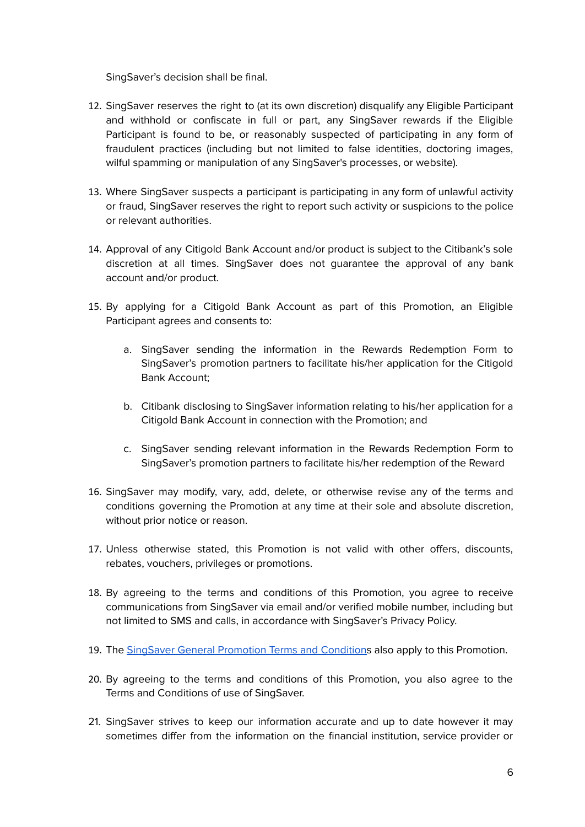SingSaver's decision shall be final.

- 12. SingSaver reserves the right to (at its own discretion) disqualify any Eligible Participant and withhold or confiscate in full or part, any SingSaver rewards if the Eligible Participant is found to be, or reasonably suspected of participating in any form of fraudulent practices (including but not limited to false identities, doctoring images, wilful spamming or manipulation of any SingSaver's processes, or website).
- 13. Where SingSaver suspects a participant is participating in any form of unlawful activity or fraud, SingSaver reserves the right to report such activity or suspicions to the police or relevant authorities.
- 14. Approval of any Citigold Bank Account and/or product is subject to the Citibank's sole discretion at all times. SingSaver does not guarantee the approval of any bank account and/or product.
- 15. By applying for a Citigold Bank Account as part of this Promotion, an Eligible Participant agrees and consents to:
	- a. SingSaver sending the information in the Rewards Redemption Form to SingSaver's promotion partners to facilitate his/her application for the Citigold Bank Account;
	- b. Citibank disclosing to SingSaver information relating to his/her application for a Citigold Bank Account in connection with the Promotion; and
	- c. SingSaver sending relevant information in the Rewards Redemption Form to SingSaver's promotion partners to facilitate his/her redemption of the Reward
- 16. SingSaver may modify, vary, add, delete, or otherwise revise any of the terms and conditions governing the Promotion at any time at their sole and absolute discretion, without prior notice or reason.
- 17. Unless otherwise stated, this Promotion is not valid with other offers, discounts, rebates, vouchers, privileges or promotions.
- 18. By agreeing to the terms and conditions of this Promotion, you agree to receive communications from SingSaver via email and/or verified mobile number, including but not limited to SMS and calls, in accordance with SingSaver's Privacy Policy.
- 19. The SingSaver General [Promotion](#page-7-0) Terms and Conditions also apply to this Promotion.
- 20. By agreeing to the terms and conditions of this Promotion, you also agree to the Terms and Conditions of use of SingSaver.
- 21. SingSaver strives to keep our information accurate and up to date however it may sometimes differ from the information on the financial institution, service provider or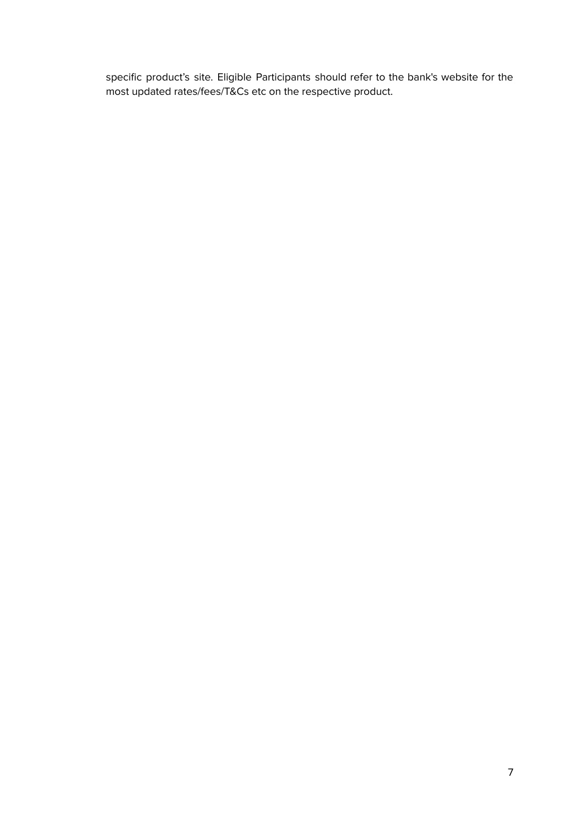specific product's site. Eligible Participants should refer to the bank's website for the most updated rates/fees/T&Cs etc on the respective product.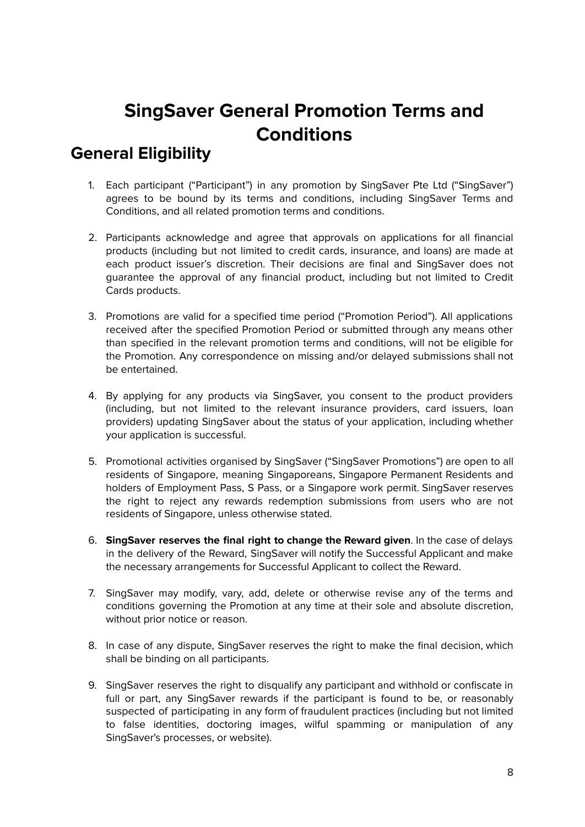## **SingSaver General Promotion Terms and Conditions**

### <span id="page-7-1"></span><span id="page-7-0"></span>**General Eligibility**

- 1. Each participant ("Participant") in any promotion by SingSaver Pte Ltd ("SingSaver") agrees to be bound by its terms and conditions, including SingSaver Terms and Conditions, and all related promotion terms and conditions.
- 2. Participants acknowledge and agree that approvals on applications for all financial products (including but not limited to credit cards, insurance, and loans) are made at each product issuer's discretion. Their decisions are final and SingSaver does not guarantee the approval of any financial product, including but not limited to Credit Cards products.
- 3. Promotions are valid for a specified time period ("Promotion Period"). All applications received after the specified Promotion Period or submitted through any means other than specified in the relevant promotion terms and conditions, will not be eligible for the Promotion. Any correspondence on missing and/or delayed submissions shall not be entertained.
- 4. By applying for any products via SingSaver, you consent to the product providers (including, but not limited to the relevant insurance providers, card issuers, loan providers) updating SingSaver about the status of your application, including whether your application is successful.
- 5. Promotional activities organised by SingSaver ("SingSaver Promotions") are open to all residents of Singapore, meaning Singaporeans, Singapore Permanent Residents and holders of Employment Pass, S Pass, or a Singapore work permit. SingSaver reserves the right to reject any rewards redemption submissions from users who are not residents of Singapore, unless otherwise stated.
- 6. **SingSaver reserves the final right to change the Reward given**. In the case of delays in the delivery of the Reward, SingSaver will notify the Successful Applicant and make the necessary arrangements for Successful Applicant to collect the Reward.
- 7. SingSaver may modify, vary, add, delete or otherwise revise any of the terms and conditions governing the Promotion at any time at their sole and absolute discretion, without prior notice or reason.
- 8. In case of any dispute, SingSaver reserves the right to make the final decision, which shall be binding on all participants.
- 9. SingSaver reserves the right to disqualify any participant and withhold or confiscate in full or part, any SingSaver rewards if the participant is found to be, or reasonably suspected of participating in any form of fraudulent practices (including but not limited to false identities, doctoring images, wilful spamming or manipulation of any SingSaver's processes, or website).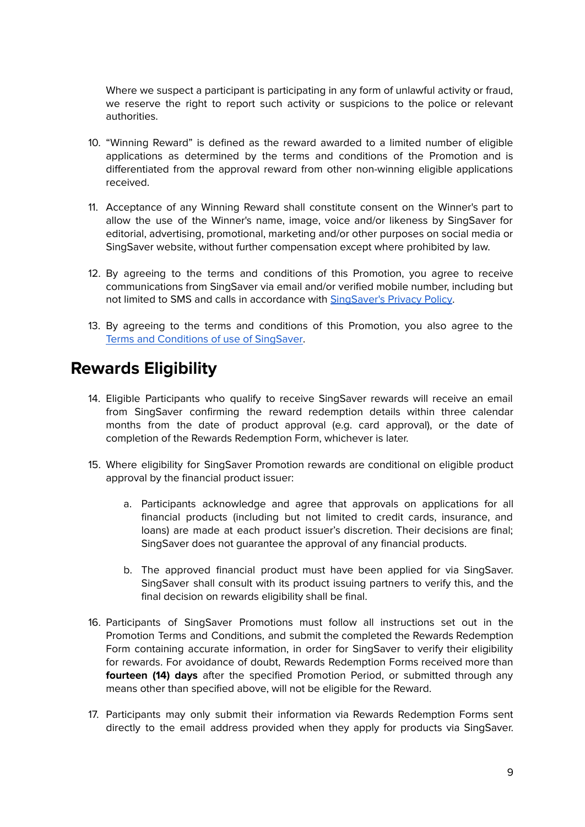Where we suspect a participant is participating in any form of unlawful activity or fraud, we reserve the right to report such activity or suspicions to the police or relevant authorities.

- 10. "Winning Reward" is defined as the reward awarded to a limited number of eligible applications as determined by the terms and conditions of the Promotion and is differentiated from the approval reward from other non-winning eligible applications received.
- 11. Acceptance of any Winning Reward shall constitute consent on the Winner's part to allow the use of the Winner's name, image, voice and/or likeness by SingSaver for editorial, advertising, promotional, marketing and/or other purposes on social media or SingSaver website, without further compensation except where prohibited by law.
- 12. By agreeing to the terms and conditions of this Promotion, you agree to receive communications from SingSaver via email and/or verified mobile number, including but not limited to SMS and calls in accordance with [SingSaver's](https://www.singsaver.com.sg/privacy-policy) Privacy Policy.
- 13. By agreeing to the terms and conditions of this Promotion, you also agree to the Terms and [Conditions](https://www.singsaver.com.sg/terms) of use of SingSaver.

#### <span id="page-8-0"></span>**Rewards Eligibility**

- 14. Eligible Participants who qualify to receive SingSaver rewards will receive an email from SingSaver confirming the reward redemption details within three calendar months from the date of product approval (e.g. card approval), or the date of completion of the Rewards Redemption Form, whichever is later.
- 15. Where eligibility for SingSaver Promotion rewards are conditional on eligible product approval by the financial product issuer:
	- a. Participants acknowledge and agree that approvals on applications for all financial products (including but not limited to credit cards, insurance, and loans) are made at each product issuer's discretion. Their decisions are final; SingSaver does not guarantee the approval of any financial products.
	- b. The approved financial product must have been applied for via SingSaver. SingSaver shall consult with its product issuing partners to verify this, and the final decision on rewards eligibility shall be final.
- 16. Participants of SingSaver Promotions must follow all instructions set out in the Promotion Terms and Conditions, and submit the completed the Rewards Redemption Form containing accurate information, in order for SingSaver to verify their eligibility for rewards. For avoidance of doubt, Rewards Redemption Forms received more than **fourteen (14) days** after the specified Promotion Period, or submitted through any means other than specified above, will not be eligible for the Reward.
- 17. Participants may only submit their information via Rewards Redemption Forms sent directly to the email address provided when they apply for products via SingSaver.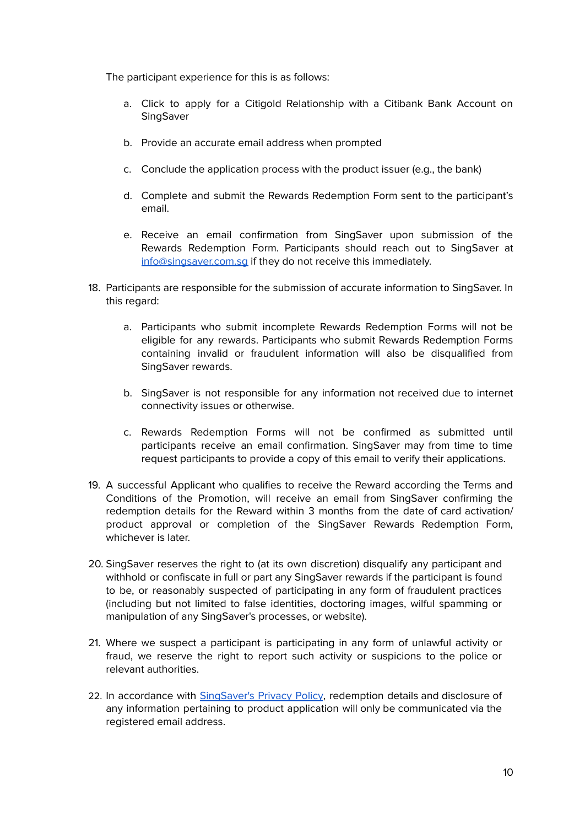The participant experience for this is as follows:

- a. Click to apply for a Citigold Relationship with a Citibank Bank Account on SingSaver
- b. Provide an accurate email address when prompted
- c. Conclude the application process with the product issuer (e.g., the bank)
- d. Complete and submit the Rewards Redemption Form sent to the participant's email.
- e. Receive an email confirmation from SingSaver upon submission of the Rewards Redemption Form. Participants should reach out to SingSaver at [info@singsaver.com.sg](mailto:info@singsaver.com.sg) if they do not receive this immediately.
- 18. Participants are responsible for the submission of accurate information to SingSaver. In this regard:
	- a. Participants who submit incomplete Rewards Redemption Forms will not be eligible for any rewards. Participants who submit Rewards Redemption Forms containing invalid or fraudulent information will also be disqualified from SingSaver rewards.
	- b. SingSaver is not responsible for any information not received due to internet connectivity issues or otherwise.
	- c. Rewards Redemption Forms will not be confirmed as submitted until participants receive an email confirmation. SingSaver may from time to time request participants to provide a copy of this email to verify their applications.
- 19. A successful Applicant who qualifies to receive the Reward according the Terms and Conditions of the Promotion, will receive an email from SingSaver confirming the redemption details for the Reward within 3 months from the date of card activation/ product approval or completion of the SingSaver Rewards Redemption Form, whichever is later.
- 20. SingSaver reserves the right to (at its own discretion) disqualify any participant and withhold or confiscate in full or part any SingSaver rewards if the participant is found to be, or reasonably suspected of participating in any form of fraudulent practices (including but not limited to false identities, doctoring images, wilful spamming or manipulation of any SingSaver's processes, or website).
- 21. Where we suspect a participant is participating in any form of unlawful activity or fraud, we reserve the right to report such activity or suspicions to the police or relevant authorities.
- 22. In accordance with [SingSaver's](https://www.singsaver.com.sg/privacy-policy) Privacy Policy, redemption details and disclosure of any information pertaining to product application will only be communicated via the registered email address.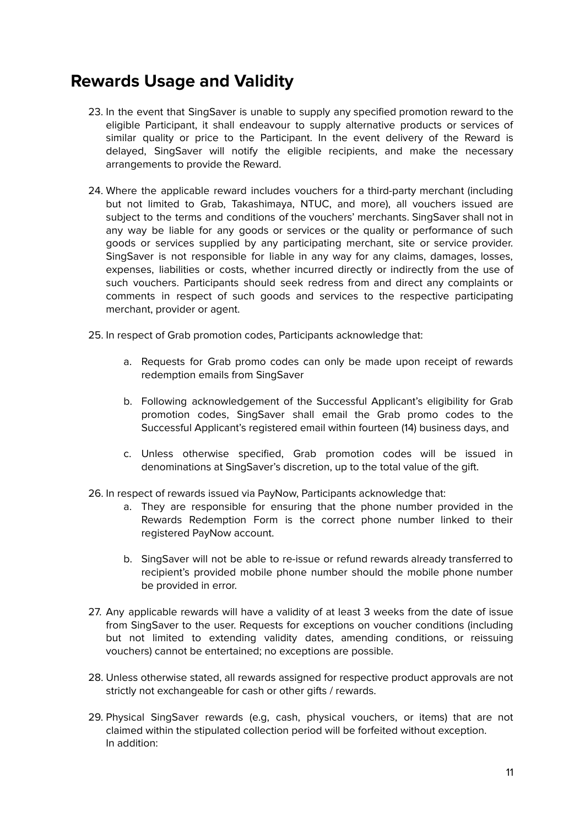#### <span id="page-10-0"></span>**Rewards Usage and Validity**

- 23. In the event that SingSaver is unable to supply any specified promotion reward to the eligible Participant, it shall endeavour to supply alternative products or services of similar quality or price to the Participant. In the event delivery of the Reward is delayed, SingSaver will notify the eligible recipients, and make the necessary arrangements to provide the Reward.
- 24. Where the applicable reward includes vouchers for a third-party merchant (including but not limited to Grab, Takashimaya, NTUC, and more), all vouchers issued are subject to the terms and conditions of the vouchers' merchants. SingSaver shall not in any way be liable for any goods or services or the quality or performance of such goods or services supplied by any participating merchant, site or service provider. SingSaver is not responsible for liable in any way for any claims, damages, losses, expenses, liabilities or costs, whether incurred directly or indirectly from the use of such vouchers. Participants should seek redress from and direct any complaints or comments in respect of such goods and services to the respective participating merchant, provider or agent.
- 25. In respect of Grab promotion codes, Participants acknowledge that:
	- a. Requests for Grab promo codes can only be made upon receipt of rewards redemption emails from SingSaver
	- b. Following acknowledgement of the Successful Applicant's eligibility for Grab promotion codes, SingSaver shall email the Grab promo codes to the Successful Applicant's registered email within fourteen (14) business days, and
	- c. Unless otherwise specified, Grab promotion codes will be issued in denominations at SingSaver's discretion, up to the total value of the gift.
- 26. In respect of rewards issued via PayNow, Participants acknowledge that:
	- a. They are responsible for ensuring that the phone number provided in the Rewards Redemption Form is the correct phone number linked to their registered PayNow account.
	- b. SingSaver will not be able to re-issue or refund rewards already transferred to recipient's provided mobile phone number should the mobile phone number be provided in error.
- 27. Any applicable rewards will have a validity of at least 3 weeks from the date of issue from SingSaver to the user. Requests for exceptions on voucher conditions (including but not limited to extending validity dates, amending conditions, or reissuing vouchers) cannot be entertained; no exceptions are possible.
- 28. Unless otherwise stated, all rewards assigned for respective product approvals are not strictly not exchangeable for cash or other gifts / rewards.
- 29. Physical SingSaver rewards (e.g, cash, physical vouchers, or items) that are not claimed within the stipulated collection period will be forfeited without exception. In addition: